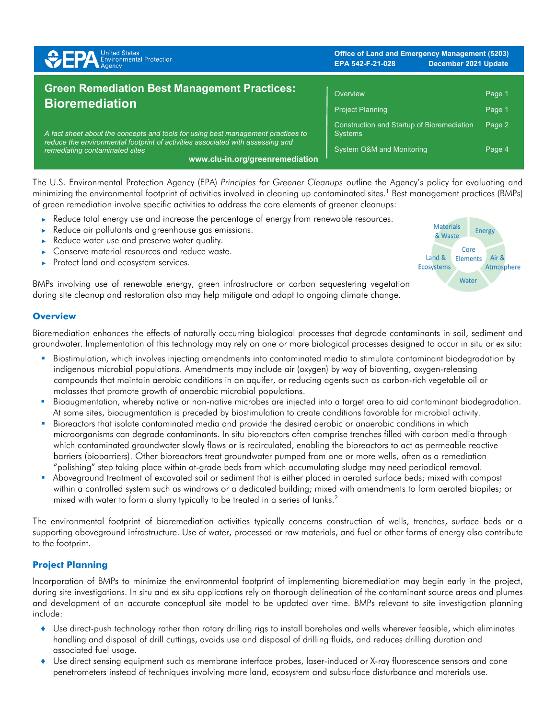| <b>SPA</b> Environmental Protection                                                                                                                                                                                                     | <b>Office of Land and Emergency Management (5203)</b><br>EPA 542-F-21-028<br>December 2021 Update |                  |
|-----------------------------------------------------------------------------------------------------------------------------------------------------------------------------------------------------------------------------------------|---------------------------------------------------------------------------------------------------|------------------|
| <b>Green Remediation Best Management Practices:</b><br><b>Bioremediation</b>                                                                                                                                                            | Overview<br><b>Project Planning</b>                                                               | Page 1<br>Page 1 |
| A fact sheet about the concepts and tools for using best management practices to<br>reduce the environmental footprint of activities associated with assessing and<br>remediating contaminated sites<br>www.clu-in.org/greenremediation | Construction and Startup of Bioremediation<br><b>Systems</b><br>System O&M and Monitoring         | Page 2<br>Page 4 |

The U.S. Environmental Protection Agency (EPA) *Principles for Greener Cleanups* outline the Agency's policy for evaluating and minimizing the environmental footprint of activities involved in cleaning up contaminated sites.<sup>1</sup> Best management practices (BMPs) of green remediation involve specific activities to address the core elements of greener cleanups:

- Reduce total energy use and increase the percentage of energy from renewable resources.
- ► Reduce air pollutants and greenhouse gas emissions.
- ► Reduce water use and preserve water quality.
- Conserve material resources and reduce waste.
- ► Protect land and ecosystem services.

BMPs involving use of renewable energy, green infrastructure or carbon sequestering vegetation during site cleanup and restoration also may help mitigate and adapt to ongoing climate change.

## **Overview**

Bioremediation enhances the effects of naturally occurring biological processes that degrade contaminants in soil, sediment and groundwater. Implementation of this technology may rely on one or more biological processes designed to occur in situ or ex situ:

- Biostimulation, which involves injecting amendments into contaminated media to stimulate contaminant biodegradation by indigenous microbial populations. Amendments may include air (oxygen) by way of bioventing, oxygen-releasing compounds that maintain aerobic conditions in an aquifer, or reducing agents such as carbon-rich vegetable oil or molasses that promote growth of anaerobic microbial populations.
- Bioaugmentation, whereby native or non-native microbes are injected into a target area to aid contaminant biodegradation. At some sites, bioaugmentation is preceded by biostimulation to create conditions favorable for microbial activity.
- Bioreactors that isolate contaminated media and provide the desired aerobic or anaerobic conditions in which microorganisms can degrade contaminants. In situ bioreactors often comprise trenches filled with carbon media through which contaminated groundwater slowly flows or is recirculated, enabling the bioreactors to act as permeable reactive barriers (biobarriers). Other bioreactors treat groundwater pumped from one or more wells, often as a remediation "polishing" step taking place within at-grade beds from which accumulating sludge may need periodical removal.
- Aboveground treatment of excavated soil or sediment that is either placed in aerated surface beds; mixed with compost within a controlled system such as windrows or a dedicated building; mixed with amendments to form aerated biopiles; or mixed with water to form a slurry typically to be treated in a series of tanks.<sup>2</sup>

The environmental footprint of bioremediation activities typically concerns construction of wells, trenches, surface beds or a supporting aboveground infrastructure. Use of water, processed or raw materials, and fuel or other forms of energy also contribute to the footprint.

## **Project Planning**

Incorporation of BMPs to minimize the environmental footprint of implementing bioremediation may begin early in the project, during site investigations. In situ and ex situ applications rely on thorough delineation of the contaminant source areas and plumes and development of an accurate conceptual site model to be updated over time. BMPs relevant to site investigation planning include:

- ♦ Use direct-push technology rather than rotary drilling rigs to install boreholes and wells wherever feasible, which eliminates handling and disposal of drill cuttings, avoids use and disposal of drilling fluids, and reduces drilling duration and associated fuel usage.
- ♦ Use direct sensing equipment such as membrane interface probes, laser-induced or X-ray fluorescence sensors and cone penetrometers instead of techniques involving more land, ecosystem and subsurface disturbance and materials use.

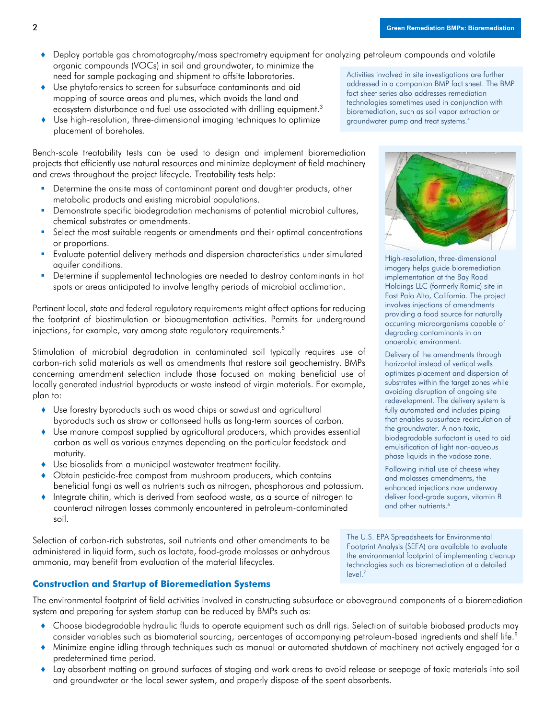- Deploy portable gas chromatography/mass spectrometry equipment for analyzing petroleum compounds and volatile organic compounds (VOCs) in soil and groundwater, to minimize the need for sample packaging and shipment to offsite laboratories.
- ♦ Use phytoforensics to screen for subsurface contaminants and aid mapping of source areas and plumes, which avoids the land and ecosystem disturbance and fuel use associated with drilling equipment.<sup>3</sup>
- ♦ Use high-resolution, three-dimensional imaging techniques to optimize placement of boreholes.

Bench-scale treatability tests can be used to design and implement bioremediation projects that efficiently use natural resources and minimize deployment of field machinery and crews throughout the project lifecycle. Treatability tests help:

- Determine the onsite mass of contaminant parent and daughter products, other metabolic products and existing microbial populations.
- **Demonstrate specific biodegradation mechanisms of potential microbial cultures,** chemical substrates or amendments.
- Select the most suitable reagents or amendments and their optimal concentrations or proportions.
- Evaluate potential delivery methods and dispersion characteristics under simulated aquifer conditions.
- Determine if supplemental technologies are needed to destroy contaminants in hot spots or areas anticipated to involve lengthy periods of microbial acclimation.

Pertinent local, state and federal regulatory requirements might affect options for reducing the footprint of biostimulation or bioaugmentation activities. Permits for underground injections, for example, vary among state regulatory requirements.<sup>5</sup>

Stimulation of microbial degradation in contaminated soil typically requires use of carbon-rich solid materials as well as amendments that restore soil geochemistry. BMPs concerning amendment selection include those focused on making beneficial use of locally generated industrial byproducts or waste instead of virgin materials. For example, plan to:

- ♦ Use forestry byproducts such as wood chips or sawdust and agricultural byproducts such as straw or cottonseed hulls as long-term sources of carbon.
- ♦ Use manure compost supplied by agricultural producers, which provides essential carbon as well as various enzymes depending on the particular feedstock and maturity.
- ♦ Use biosolids from a municipal wastewater treatment facility.
- Obtain pesticide-free compost from mushroom producers, which contains beneficial fungi as well as nutrients such as nitrogen, phosphorous and potassium.
- ♦ Integrate chitin, which is derived from seafood waste, as a source of nitrogen to counteract nitrogen losses commonly encountered in petroleum-contaminated soil.

Selection of carbon-rich substrates, soil nutrients and other amendments to be administered in liquid form, such as lactate, food-grade molasses or anhydrous ammonia, may benefit from evaluation of the material lifecycles.

# **Construction and Startup of Bioremediation Systems**

The environmental footprint of field activities involved in constructing subsurface or aboveground components of a bioremediation system and preparing for system startup can be reduced by BMPs such as:

- ♦ Choose biodegradable hydraulic fluids to operate equipment such as drill rigs. Selection of suitable biobased products may consider variables such as biomaterial sourcing, percentages of accompanying petroleum-based ingredients and shelf life. 8
- ♦ Minimize engine idling through techniques such as manual or automated shutdown of machinery not actively engaged for a predetermined time period.
- ♦ Lay absorbent matting on ground surfaces of staging and work areas to avoid release or seepage of toxic materials into soil and groundwater or the local sewer system, and properly dispose of the spent absorbents.

Activities involved in site investigations are further addressed in a companion BMP fact sheet. The BMP fact sheet series also addresses remediation technologies sometimes used in conjunction with bioremediation, such as soil vapor extraction or groundwater pump and treat systems. 4



High-resolution, three-dimensional imagery helps guide bioremediation implementation at the Bay Road Holdings LLC (formerly Romic) site in East Palo Alto, California. The project involves injections of amendments providing a food source for naturally occurring microorganisms capable of degrading contaminants in an anaerobic environment.

Delivery of the amendments through horizontal instead of vertical wells optimizes placement and dispersion of substrates within the target zones while avoiding disruption of ongoing site redevelopment. The delivery system is fully automated and includes piping that enables subsurface recirculation of the groundwater. A non-toxic, biodegradable surfactant is used to aid emulsification of light non-aqueous phase liquids in the vadose zone.

Following initial use of cheese whey and molasses amendments, the enhanced injections now underway deliver food-grade sugars, vitamin B and other nutrients.<sup>6</sup>

The U.S. EPA Spreadsheets for Environmental Footprint Analysis (SEFA) are available to evaluate the environmental footprint of implementing cleanup technologies such as bioremediation at a detailed level.7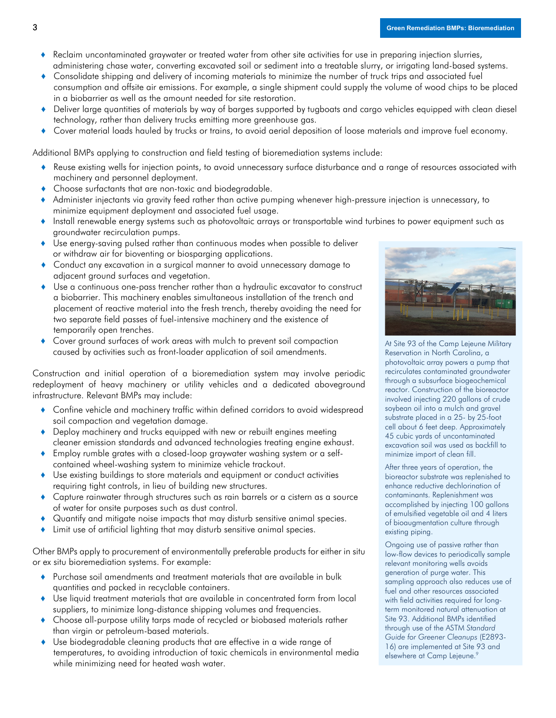- Reclaim uncontaminated graywater or treated water from other site activities for use in preparing injection slurries, administering chase water, converting excavated soil or sediment into a treatable slurry, or irrigating land-based systems.
- ♦ Consolidate shipping and delivery of incoming materials to minimize the number of truck trips and associated fuel consumption and offsite air emissions. For example, a single shipment could supply the volume of wood chips to be placed in a biobarrier as well as the amount needed for site restoration.
- ♦ Deliver large quantities of materials by way of barges supported by tugboats and cargo vehicles equipped with clean diesel technology, rather than delivery trucks emitting more greenhouse gas.
- Cover material loads hauled by trucks or trains, to avoid aerial deposition of loose materials and improve fuel economy.

Additional BMPs applying to construction and field testing of bioremediation systems include:

- ♦ Reuse existing wells for injection points, to avoid unnecessary surface disturbance and a range of resources associated with machinery and personnel deployment.
- Choose surfactants that are non-toxic and biodegradable.
- ♦ Administer injectants via gravity feed rather than active pumping whenever high-pressure injection is unnecessary, to minimize equipment deployment and associated fuel usage.
- ♦ Install renewable energy systems such as photovoltaic arrays or transportable wind turbines to power equipment such as groundwater recirculation pumps.
- ♦ Use energy-saving pulsed rather than continuous modes when possible to deliver or withdraw air for bioventing or biosparging applications.
- Conduct any excavation in a surgical manner to avoid unnecessary damage to adjacent ground surfaces and vegetation.
- Use a continuous one-pass trencher rather than a hydraulic excavator to construct a biobarrier. This machinery enables simultaneous installation of the trench and placement of reactive material into the fresh trench, thereby avoiding the need for two separate field passes of fuel-intensive machinery and the existence of temporarily open trenches.
- Cover ground surfaces of work areas with mulch to prevent soil compaction caused by activities such as front-loader application of soil amendments.

Construction and initial operation of a bioremediation system may involve periodic redeployment of heavy machinery or utility vehicles and a dedicated aboveground infrastructure. Relevant BMPs may include:

- Confine vehicle and machinery traffic within defined corridors to avoid widespread soil compaction and vegetation damage.
- ♦ Deploy machinery and trucks equipped with new or rebuilt engines meeting cleaner emission standards and advanced technologies treating engine exhaust.
- ♦ Employ rumble grates with a closed-loop graywater washing system or a selfcontained wheel-washing system to minimize vehicle trackout.
- ♦ Use existing buildings to store materials and equipment or conduct activities requiring tight controls, in lieu of building new structures.
- ♦ Capture rainwater through structures such as rain barrels or a cistern as a source of water for onsite purposes such as dust control.
- Quantify and mitigate noise impacts that may disturb sensitive animal species.
- ♦ Limit use of artificial lighting that may disturb sensitive animal species.

Other BMPs apply to procurement of environmentally preferable products for either in situ or ex situ bioremediation systems. For example:

- ♦ Purchase soil amendments and treatment materials that are available in bulk quantities and packed in recyclable containers.
- ♦ Use liquid treatment materials that are available in concentrated form from local suppliers, to minimize long-distance shipping volumes and frequencies.
- Choose all-purpose utility tarps made of recycled or biobased materials rather than virgin or petroleum-based materials.
- ♦ Use biodegradable cleaning products that are effective in a wide range of temperatures, to avoiding introduction of toxic chemicals in environmental media while minimizing need for heated wash water.



At Site 93 of the Camp Lejeune Military Reservation in North Carolina, a photovoltaic array powers a pump that recirculates contaminated groundwater through a subsurface biogeochemical reactor. Construction of the bioreactor involved injecting 220 gallons of crude soybean oil into a mulch and gravel substrate placed in a 25- by 25-foot cell about 6 feet deep. Approximately 45 cubic yards of uncontaminated excavation soil was used as backfill to minimize import of clean fill.

After three years of operation, the bioreactor substrate was replenished to enhance reductive dechlorination of contaminants. Replenishment was accomplished by injecting 100 gallons of emulsified vegetable oil and 4 liters of bioaugmentation culture through existing piping.

Ongoing use of passive rather than low-flow devices to periodically sample relevant monitoring wells avoids generation of purge water. This sampling approach also reduces use of fuel and other resources associated with field activities required for longterm monitored natural attenuation at Site 93. Additional BMPs identified through use of the ASTM *Standard Guide for Greener Cleanups* (E2893- 16) are implemented at Site 93 and elsewhere at Camp Lejeune. 9